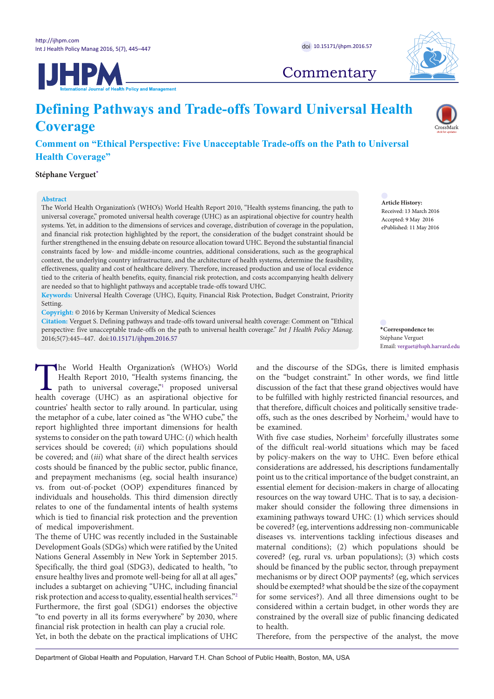



## **Commentary**

# **Defining Pathways and Trade-offs Toward Universal Health Coverage**

### **Comment on "Ethical Perspective: Five Unacceptable Trade-offs on the Path to Universal Health Coverage"**

**Stéphane Verguet[\\*](#page-0-0)**

#### **Abstract**

The World Health Organization's (WHO's) World Health Report 2010, "Health systems financing, the path to universal coverage," promoted universal health coverage (UHC) as an aspirational objective for country health systems. Yet, in addition to the dimensions of services and coverage, distribution of coverage in the population, and financial risk protection highlighted by the report, the consideration of the budget constraint should be further strengthened in the ensuing debate on resource allocation toward UHC. Beyond the substantial financial constraints faced by low- and middle-income countries, additional considerations, such as the geographical context, the underlying country infrastructure, and the architecture of health systems, determine the feasibility, effectiveness, quality and cost of healthcare delivery. Therefore, increased production and use of local evidence tied to the criteria of health benefits, equity, financial risk protection, and costs accompanying health delivery are needed so that to highlight pathways and acceptable trade-offs toward UHC.

**Keywords:** Universal Health Coverage (UHC), Equity, Financial Risk Protection, Budget Constraint, Priority Setting.

**Copyright:** © 2016 by Kerman University of Medical Sciences

**Citation:** Verguet S. Defining pathways and trade-offs toward universal health coverage: Comment on "Ethical perspective: five unacceptable trade-offs on the path to universal health coverage." *Int J Health Policy Manag.*  2016;5(7):445–447. doi[:10.15171/ijhpm.2016.57](http://dx.doi.org/10.15171/ijhpm.2016.57)

The World Health Organization's (WHO's) World<br>Health Report 2010, "Health systems financing, the<br>path to universal coverage," proposed universal<br>health coverage (UHC) as an aspirational objective for Health Report 2010, "Health systems financing, the path to universal coverage," proposed universal health coverage (UHC) as an aspirational objective for countries' health sector to rally around. In particular, using the metaphor of a cube, later coined as "the WHO cube," the report highlighted three important dimensions for health systems to consider on the path toward UHC: (*i*) which health services should be covered; (*ii*) which populations should be covered; and (*iii*) what share of the direct health services costs should be financed by the public sector, public finance, and prepayment mechanisms (eg, social health insurance) vs. from out-of-pocket (OOP) expenditures financed by individuals and households. This third dimension directly relates to one of the fundamental intents of health systems which is tied to financial risk protection and the prevention of medical impoverishment.

The theme of UHC was recently included in the Sustainable Development Goals (SDGs) which were ratified by the United Nations General Assembly in New York in September 2015. Specifically, the third goal (SDG3), dedicated to health, "to ensure healthy lives and promote well-being for all at all ages," includes a subtarget on achieving "UHC, including financial risk protection and access to quality, essential health services."[2](#page-2-1) Furthermore, the first goal (SDG1) endorses the objective "to end poverty in all its forms everywhere" by 2030, where financial risk protection in health can play a crucial role. Yet, in both the debate on the practical implications of UHC

**Article History:** Received: 13 March 2016 Accepted: 9 May 2016 ePublished: 11 May 2016

<span id="page-0-0"></span>**\*Correspondence to:** Stéphane Verguet Email: verguet@hsph.harvard.edu

and the discourse of the SDGs, there is limited emphasis on the "budget constraint." In other words, we find little discussion of the fact that these grand objectives would have to be fulfilled with highly restricted financial resources, and that therefore, difficult choices and politically sensitive tradeoffs, such as the ones described by Norheim,<sup>3</sup> would have to be examined.

With five case studies, Norheim<sup>[3](#page-2-2)</sup> forcefully illustrates some of the difficult real-world situations which may be faced by policy-makers on the way to UHC. Even before ethical considerations are addressed, his descriptions fundamentally point us to the critical importance of the budget constraint, an essential element for decision-makers in charge of allocating resources on the way toward UHC. That is to say, a decisionmaker should consider the following three dimensions in examining pathways toward UHC: (1) which services should be covered? (eg, interventions addressing non-communicable diseases vs. interventions tackling infectious diseases and maternal conditions); (2) which populations should be covered? (eg, rural vs. urban populations); (3) which costs should be financed by the public sector, through prepayment mechanisms or by direct OOP payments? (eg, which services should be exempted? what should be the size of the copayment for some services?). And all three dimensions ought to be considered within a certain budget, in other words they are constrained by the overall size of public financing dedicated to health.

Therefore, from the perspective of the analyst, the move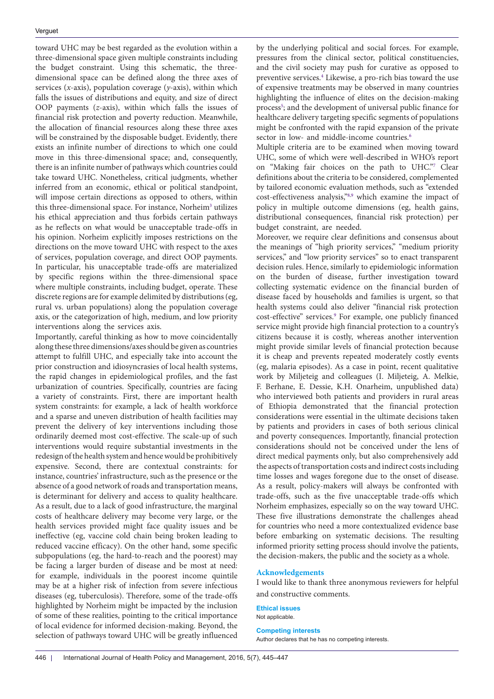toward UHC may be best regarded as the evolution within a three-dimensional space given multiple constraints including the budget constraint. Using this schematic, the threedimensional space can be defined along the three axes of services (*x*-axis), population coverage (*y*-axis), within which falls the issues of distributions and equity, and size of direct OOP payments (*z*-axis), within which falls the issues of financial risk protection and poverty reduction. Meanwhile, the allocation of financial resources along these three axes will be constrained by the disposable budget. Evidently, there exists an infinite number of directions to which one could move in this three-dimensional space; and, consequently, there is an infinite number of pathways which countries could take toward UHC. Nonetheless, critical judgments, whether inferred from an economic, ethical or political standpoint, will impose certain directions as opposed to others, within this three-dimensional space. For instance, Norheim<sup>[3](#page-2-2)</sup> utilizes his ethical appreciation and thus forbids certain pathways as he reflects on what would be unacceptable trade-offs in his opinion. Norheim explicitly imposes restrictions on the directions on the move toward UHC with respect to the axes of services, population coverage, and direct OOP payments. In particular, his unacceptable trade-offs are materialized by specific regions within the three-dimensional space where multiple constraints, including budget, operate. These discrete regions are for example delimited by distributions (eg, rural vs. urban populations) along the population coverage axis, or the categorization of high, medium, and low priority interventions along the services axis.

Importantly, careful thinking as how to move coincidentally along these three dimensions/axes should be given as countries attempt to fulfill UHC, and especially take into account the prior construction and idiosyncrasies of local health systems, the rapid changes in epidemiological profiles, and the fast urbanization of countries. Specifically, countries are facing a variety of constraints. First, there are important health system constraints: for example, a lack of health workforce and a sparse and uneven distribution of health facilities may prevent the delivery of key interventions including those ordinarily deemed most cost-effective. The scale-up of such interventions would require substantial investments in the redesign of the health system and hence would be prohibitively expensive. Second, there are contextual constraints: for instance, countries' infrastructure, such as the presence or the absence of a good network of roads and transportation means, is determinant for delivery and access to quality healthcare. As a result, due to a lack of good infrastructure, the marginal costs of healthcare delivery may become very large, or the health services provided might face quality issues and be ineffective (eg, vaccine cold chain being broken leading to reduced vaccine efficacy). On the other hand, some specific subpopulations (eg, the hard-to-reach and the poorest) may be facing a larger burden of disease and be most at need: for example, individuals in the poorest income quintile may be at a higher risk of infection from severe infectious diseases (eg, tuberculosis). Therefore, some of the trade-offs highlighted by Norheim might be impacted by the inclusion of some of these realities, pointing to the critical importance of local evidence for informed decision-making. Beyond, the selection of pathways toward UHC will be greatly influenced

by the underlying political and social forces. For example, pressures from the clinical sector, political constituencies, and the civil society may push for curative as opposed to preventive services.<sup>4</sup> Likewise, a pro-rich bias toward the use of expensive treatments may be observed in many countries highlighting the influence of elites on the decision-making process<sup>[5](#page-2-4)</sup>; and the development of universal public finance for healthcare delivery targeting specific segments of populations might be confronted with the rapid expansion of the private sector in low- and middle-income countries.<sup>6</sup>

Multiple criteria are to be examined when moving toward UHC, some of which were well-described in WHO's report on "Making fair choices on the path to UHC.["7](#page-2-6) Clear definitions about the criteria to be considered, complemented by tailored economic evaluation methods, such as "extended cost-effectiveness analysis,"<sup>[8,](#page-2-7)[9](#page-2-8)</sup> which examine the impact of policy in multiple outcome dimensions (eg, health gains, distributional consequences, financial risk protection) per budget constraint, are needed.

Moreover, we require clear definitions and consensus about the meanings of "high priority services," "medium priority services," and "low priority services" so to enact transparent decision rules. Hence, similarly to epidemiologic information on the burden of disease, further investigation toward collecting systematic evidence on the financial burden of disease faced by households and families is urgent, so that health systems could also deliver "financial risk protection cost-effective" services.<sup>9</sup> For example, one publicly financed service might provide high financial protection to a country's citizens because it is costly, whereas another intervention might provide similar levels of financial protection because it is cheap and prevents repeated moderately costly events (eg, malaria episodes). As a case in point, recent qualitative work by Miljeteig and colleagues (I. Miljeteig, A. Melkie, F. Berhane, E. Dessie, K.H. Onarheim, unpublished data) who interviewed both patients and providers in rural areas of Ethiopia demonstrated that the financial protection considerations were essential in the ultimate decisions taken by patients and providers in cases of both serious clinical and poverty consequences. Importantly, financial protection considerations should not be conceived under the lens of direct medical payments only, but also comprehensively add the aspects of transportation costs and indirect costs including time losses and wages foregone due to the onset of disease. As a result, policy-makers will always be confronted with trade-offs, such as the five unacceptable trade-offs which Norheim emphasizes, especially so on the way toward UHC. These five illustrations demonstrate the challenges ahead for countries who need a more contextualized evidence base before embarking on systematic decisions. The resulting informed priority setting process should involve the patients, the decision-makers, the public and the society as a whole.

#### **Acknowledgements**

I would like to thank three anonymous reviewers for helpful and constructive comments.

#### **Ethical issues**  Not applicable.

**Competing interests** Author declares that he has no competing interests.